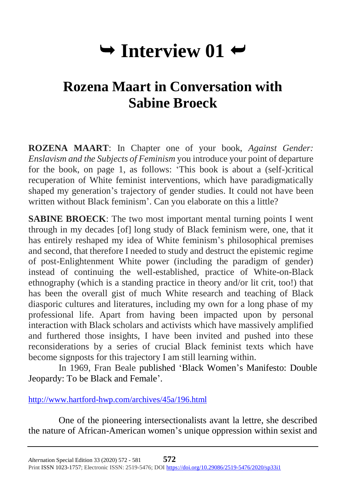# $\rightarrow$  Interview 01  $\rightarrow$

# **Rozena Maart in Conversation with Sabine Broeck**

**ROZENA MAART**: In Chapter one of your book, *Against Gender: Enslavism and the Subjects of Feminism* you introduce your point of departure for the book, on page 1, as follows: 'This book is about a (self-)critical recuperation of White feminist interventions, which have paradigmatically shaped my generation's trajectory of gender studies. It could not have been written without Black feminism'. Can you elaborate on this a little?

**SABINE BROECK:** The two most important mental turning points I went through in my decades [of] long study of Black feminism were, one, that it has entirely reshaped my idea of White feminism's philosophical premises and second, that therefore I needed to study and destruct the epistemic regime of post-Enlightenment White power (including the paradigm of gender) instead of continuing the well-established, practice of White-on-Black ethnography (which is a standing practice in theory and/or lit crit, too!) that has been the overall gist of much White research and teaching of Black diasporic cultures and literatures, including my own for a long phase of my professional life. Apart from having been impacted upon by personal interaction with Black scholars and activists which have massively amplified and furthered those insights, I have been invited and pushed into these reconsiderations by a series of crucial Black feminist texts which have become signposts for this trajectory I am still learning within.

In 1969, Fran Beale published 'Black Women's Manifesto: Double Jeopardy: To be Black and Female'.

<http://www.hartford-hwp.com/archives/45a/196.html>

One of the pioneering intersectionalists avant la lettre, she described the nature of African-American women's unique oppression within sexist and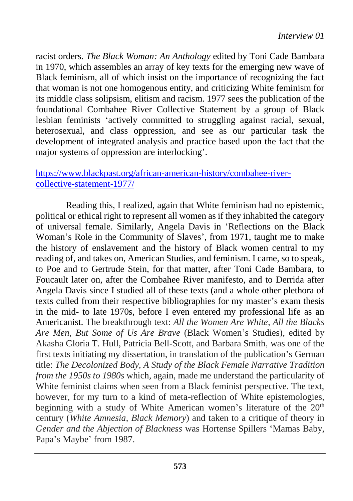racist orders. *The Black Woman: An Anthology* edited by Toni Cade Bambara in 1970, which assembles an array of key texts for the emerging new wave of Black feminism, all of which insist on the importance of recognizing the fact that woman is not one homogenous entity, and criticizing White feminism for its middle class solipsism, elitism and racism. 1977 sees the publication of the foundational Combahee River Collective Statement by a group of Black lesbian feminists 'actively committed to struggling against racial, sexual, heterosexual, and class oppression, and see as our particular task the development of integrated analysis and practice based upon the fact that the major systems of oppression are interlocking'.

# [https://www.blackpast.org/african-american-history/combahee-river](https://www.blackpast.org/african-american-history/combahee-river-collective-statement-1977/)[collective-statement-1977/](https://www.blackpast.org/african-american-history/combahee-river-collective-statement-1977/)

Reading this, I realized, again that White feminism had no epistemic, political or ethical right to represent all women as if they inhabited the category of universal female. Similarly, Angela Davis in 'Reflections on the Black Woman's Role in the Community of Slaves', from 1971, taught me to make the history of enslavement and the history of Black women central to my reading of, and takes on, American Studies, and feminism. I came, so to speak, to Poe and to Gertrude Stein, for that matter, after Toni Cade Bambara, to Foucault later on, after the Combahee River manifesto, and to Derrida after Angela Davis since I studied all of these texts (and a whole other plethora of texts culled from their respective bibliographies for my master's exam thesis in the mid- to late 1970s, before I even entered my professional life as an Americanist. The breakthrough text: *All the Women Are White, All the Blacks Are Men, But Some of Us Are Brave* (Black Women's Studies), edited by Akasha Gloria T. Hull, Patricia Bell-Scott, and Barbara Smith, was one of the first texts initiating my dissertation, in translation of the publication's German title: *The Decolonized Body, A Study of the Black Female Narrative Tradition from the 1950s to 1980s* which, again, made me understand the particularity of White feminist claims when seen from a Black feminist perspective. The text, however, for my turn to a kind of meta-reflection of White epistemologies, beginning with a study of White American women's literature of the 20<sup>th</sup> century (*White Amnesia, Black Memory*) and taken to a critique of theory in *Gender and the Abjection of Blackness* was Hortense Spillers 'Mamas Baby, Papa's Maybe' from 1987.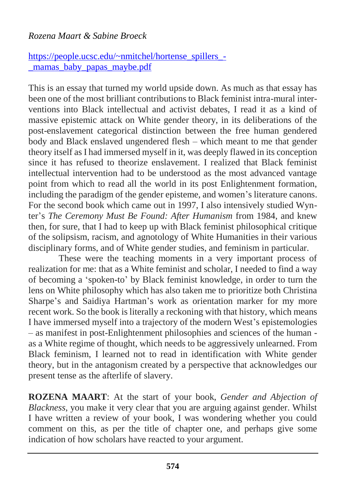## *Rozena Maart & Sabine Broeck*

# [https://people.ucsc.edu/~nmitchel/hortense\\_spillers\\_-](https://people.ucsc.edu/~nmitchel/hortense_spillers_-_mamas_baby_papas_maybe.pdf) [\\_mamas\\_baby\\_papas\\_maybe.pdf](https://people.ucsc.edu/~nmitchel/hortense_spillers_-_mamas_baby_papas_maybe.pdf)

This is an essay that turned my world upside down. As much as that essay has been one of the most brilliant contributions to Black feminist intra-mural interventions into Black intellectual and activist debates, I read it as a kind of massive epistemic attack on White gender theory, in its deliberations of the post-enslavement categorical distinction between the free human gendered body and Black enslaved ungendered flesh – which meant to me that gender theory itself as I had immersed myself in it, was deeply flawed in its conception since it has refused to theorize enslavement. I realized that Black feminist intellectual intervention had to be understood as the most advanced vantage point from which to read all the world in its post Enlightenment formation, including the paradigm of the gender episteme, and women's literature canons. For the second book which came out in 1997, I also intensively studied Wynter's *The Ceremony Must Be Found: After Humanism* from 1984, and knew then, for sure, that I had to keep up with Black feminist philosophical critique of the solipsism, racism, and agnotology of White Humanities in their various disciplinary forms, and of White gender studies, and feminism in particular.

These were the teaching moments in a very important process of realization for me: that as a White feminist and scholar, I needed to find a way of becoming a 'spoken-to' by Black feminist knowledge, in order to turn the lens on White philosophy which has also taken me to prioritize both Christina Sharpe's and Saidiya Hartman's work as orientation marker for my more recent work. So the book is literally a reckoning with that history, which means I have immersed myself into a trajectory of the modern West's epistemologies – as manifest in post-Enlightenment philosophies and sciences of the human as a White regime of thought, which needs to be aggressively unlearned. From Black feminism, I learned not to read in identification with White gender theory, but in the antagonism created by a perspective that acknowledges our present tense as the afterlife of slavery.

**ROZENA MAART**: At the start of your book, *Gender and Abjection of Blackness*, you make it very clear that you are arguing against gender. Whilst I have written a review of your book, I was wondering whether you could comment on this, as per the title of chapter one, and perhaps give some indication of how scholars have reacted to your argument.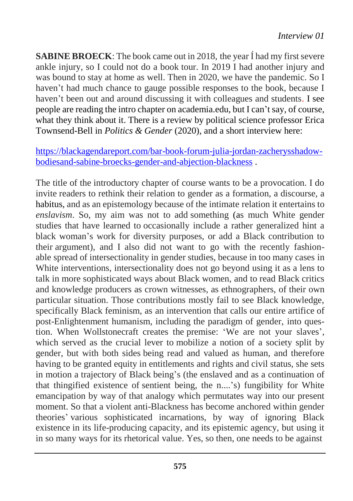**SABINE BROECK**: The book came out in 2018, the year Í had my first severe ankle injury, so I could not do a book tour. In 2019 I had another injury and was bound to stay at home as well. Then in 2020, we have the pandemic. So I haven't had much chance to gauge possible responses to the book, because I haven't been out and around discussing it with colleagues and students. I see people are reading the intro chapter on academia.edu, but I can't say, of course, what they think about it. There is a review by political science professor Erica Townsend-Bell in *Politics & Gender* (2020), and a short interview here:

[https://blackagendareport.com/bar-book-forum-julia-jordan-zacherysshadow](https://blackagendareport.com/bar-book-forum-julia-jordan-zacherysshadow-bodiesand-sabine-broecks-gender-and-abjection-blackness)[bodiesand-sabine-broecks-gender-and-abjection-blackness](https://blackagendareport.com/bar-book-forum-julia-jordan-zacherysshadow-bodiesand-sabine-broecks-gender-and-abjection-blackness) .

The title of the introductory chapter of course wants to be a provocation. I do invite readers to rethink their relation to gender as a formation, a discourse, a habitus, and as an epistemology because of the intimate relation it entertains to *enslavism*. So, my aim was not to add something (as much White gender studies that have learned to occasionally include a rather generalized hint a black woman's work for diversity purposes, or add a Black contribution to their argument), and I also did not want to go with the recently fashionable spread of intersectionality in gender studies, because in too many cases in White interventions, intersectionality does not go beyond using it as a lens to talk in more sophisticated ways about Black women, and to read Black critics and knowledge producers as crown witnesses, as ethnographers, of their own particular situation. Those contributions mostly fail to see Black knowledge, specifically Black feminism, as an intervention that calls our entire artifice of post-Enlightenment humanism, including the paradigm of gender, into question. When Wollstonecraft creates the premise: 'We are not your slaves', which served as the crucial lever to mobilize a notion of a society split by gender, but with both sides being read and valued as human, and therefore having to be granted equity in entitlements and rights and civil status, she sets in motion a trajectory of Black being's (the enslaved and as a continuation of that thingified existence of sentient being, the n....'s) fungibility for White emancipation by way of that analogy which permutates way into our present moment. So that a violent anti-Blackness has become anchored within gender theories' various sophisticated incarnations, by way of ignoring Black existence in its life-producing capacity, and its epistemic agency, but using it in so many ways for its rhetorical value. Yes, so then, one needs to be against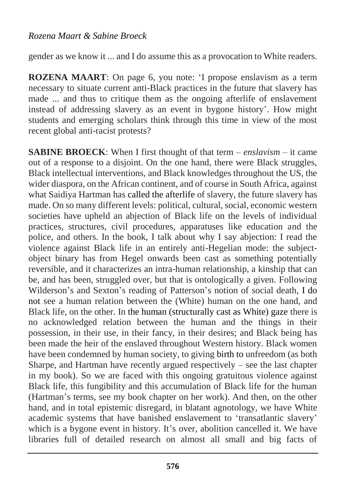### *Rozena Maart & Sabine Broeck*

gender as we know it ... and I do assume this as a provocation to White readers.

**ROZENA MAART**: On page 6, you note: 'I propose enslavism as a term necessary to situate current anti-Black practices in the future that slavery has made ... and thus to critique them as the ongoing afterlife of enslavement instead of addressing slavery as an event in bygone history'. How might students and emerging scholars think through this time in view of the most recent global anti-racist protests?

**SABINE BROECK**: When I first thought of that term – *enslavism* – it came out of a response to a disjoint. On the one hand, there were Black struggles, Black intellectual interventions, and Black knowledges throughout the US, the wider diaspora, on the African continent, and of course in South Africa, against what Saidiya Hartman has called the afterlife of slavery, the future slavery has made. On so many different levels: political, cultural, social, economic western societies have upheld an abjection of Black life on the levels of individual practices, structures, civil procedures, apparatuses like education and the police, and others. In the book, I talk about why I say abjection: I read the violence against Black life in an entirely anti-Hegelian mode: the subjectobject binary has from Hegel onwards been cast as something potentially reversible, and it characterizes an intra-human relationship, a kinship that can be, and has been, struggled over, but that is ontologically a given. Following Wilderson's and Sexton's reading of Patterson's notion of social death, I do not see a human relation between the (White) human on the one hand, and Black life, on the other. In the human (structurally cast as White) gaze there is no acknowledged relation between the human and the things in their possession, in their use, in their fancy, in their desires; and Black being has been made the heir of the enslaved throughout Western history. Black women have been condemned by human society, to giving birth to unfreedom (as both Sharpe, and Hartman have recently argued respectively – see the last chapter in my book). So we are faced with this ongoing gratuitous violence against Black life, this fungibility and this accumulation of Black life for the human (Hartman's terms, see my book chapter on her work). And then, on the other hand, and in total epistemic disregard, in blatant agnotology, we have White academic systems that have banished enslavement to 'transatlantic slavery' which is a bygone event in history. It's over, abolition cancelled it. We have libraries full of detailed research on almost all small and big facts of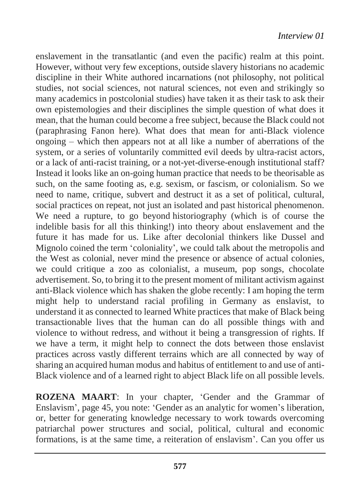enslavement in the transatlantic (and even the pacific) realm at this point. However, without very few exceptions, outside slavery historians no academic discipline in their White authored incarnations (not philosophy, not political studies, not social sciences, not natural sciences, not even and strikingly so many academics in postcolonial studies) have taken it as their task to ask their own epistemologies and their disciplines the simple question of what does it mean, that the human could become a free subject, because the Black could not (paraphrasing Fanon here). What does that mean for anti-Black violence ongoing – which then appears not at all like a number of aberrations of the system, or a series of voluntarily committed evil deeds by ultra-racist actors, or a lack of anti-racist training, or a not-yet-diverse-enough institutional staff? Instead it looks like an on-going human practice that needs to be theorisable as such, on the same footing as, e.g. sexism, or fascism, or colonialism. So we need to name, critique, subvert and destruct it as a set of political, cultural, social practices on repeat, not just an isolated and past historical phenomenon. We need a rupture, to go beyond historiography (which is of course the indelible basis for all this thinking!) into theory about enslavement and the future it has made for us. Like after decolonial thinkers like Dussel and Mignolo coined the term 'coloniality', we could talk about the metropolis and the West as colonial, never mind the presence or absence of actual colonies, we could critique a zoo as colonialist, a museum, pop songs, chocolate advertisement. So, to bring it to the present moment of militant activism against anti-Black violence which has shaken the globe recently: I am hoping the term might help to understand racial profiling in Germany as enslavist, to understand it as connected to learned White practices that make of Black being transactionable lives that the human can do all possible things with and violence to without redress, and without it being a transgression of rights. If we have a term, it might help to connect the dots between those enslavist practices across vastly different terrains which are all connected by way of sharing an acquired human modus and habitus of entitlement to and use of anti-Black violence and of a learned right to abject Black life on all possible levels.

**ROZENA MAART**: In your chapter, 'Gender and the Grammar of Enslavism', page 45, you note: 'Gender as an analytic for women's liberation, or, better for generating knowledge necessary to work towards overcoming patriarchal power structures and social, political, cultural and economic formations, is at the same time, a reiteration of enslavism'. Can you offer us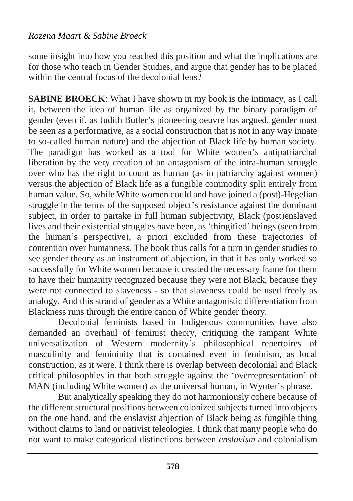# *Rozena Maart & Sabine Broeck*

some insight into how you reached this position and what the implications are for those who teach in Gender Studies, and argue that gender has to be placed within the central focus of the decolonial lens?

**SABINE BROECK**: What I have shown in my book is the intimacy, as I call it, between the idea of human life as organized by the binary paradigm of gender (even if, as Judith Butler's pioneering oeuvre has argued, gender must be seen as a performative, as a social construction that is not in any way innate to so-called human nature) and the abjection of Black life by human society. The paradigm has worked as a tool for White women's antipatriarchal liberation by the very creation of an antagonism of the intra-human struggle over who has the right to count as human (as in patriarchy against women) versus the abjection of Black life as a fungible commodity split entirely from human value. So, while White women could and have joined a (post)-Hegelian struggle in the terms of the supposed object's resistance against the dominant subject, in order to partake in full human subjectivity, Black (post)enslaved lives and their existential struggles have been, as 'thingified' beings (seen from the human's perspective), a priori excluded from these trajectories of contention over humanness. The book thus calls for a turn in gender studies to see gender theory as an instrument of abjection, in that it has only worked so successfully for White women because it created the necessary frame for them to have their humanity recognized because they were not Black, because they were not connected to slaveness - so that slaveness could be used freely as analogy. And this strand of gender as a White antagonistic differentiation from Blackness runs through the entire canon of White gender theory.

Decolonial feminists based in Indigenous communities have also demanded an overhaul of feminist theory, critiquing the rampant White universalization of Western modernity's philosophical repertoires of masculinity and femininity that is contained even in feminism, as local construction, as it were. I think there is overlap between decolonial and Black critical philosophies in that both struggle against the 'overrepresentation' of MAN (including White women) as the universal human, in Wynter's phrase.

But analytically speaking they do not harmoniously cohere because of the different structural positions between colonized subjects turned into objects on the one hand, and the enslavist abjection of Black being as fungible thing without claims to land or nativist teleologies. I think that many people who do not want to make categorical distinctions between *enslavism* and colonialism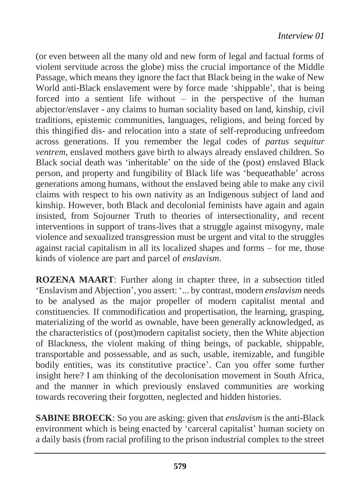(or even between all the many old and new form of legal and factual forms of violent servitude across the globe) miss the crucial importance of the Middle Passage, which means they ignore the fact that Black being in the wake of New World anti-Black enslavement were by force made 'shippable', that is being forced into a sentient life without  $-$  in the perspective of the human abjector/enslaver - any claims to human sociality based on land, kinship, civil traditions, epistemic communities, languages, religions, and being forced by this thingified dis- and relocation into a state of self-reproducing unfreedom across generations. If you remember the legal codes of *partus sequitur ventrem*, enslaved mothers gave birth to always already enslaved children. So Black social death was 'inheritable' on the side of the (post) enslaved Black person, and property and fungibility of Black life was 'bequeathable' across generations among humans, without the enslaved being able to make any civil claims with respect to his own nativity as an Indigenous subject of land and kinship. However, both Black and decolonial feminists have again and again insisted, from Sojourner Truth to theories of intersectionality, and recent interventions in support of trans-lives that a struggle against misogyny, male violence and sexualized transgression must be urgent and vital to the struggles against racial capitalism in all its localized shapes and forms – for me, those kinds of violence are part and parcel of *enslavism*.

**ROZENA MAART**: Further along in chapter three, in a subsection titled 'Enslavism and Abjection', you assert: '... by contrast, modern *enslavism* needs to be analysed as the major propeller of modern capitalist mental and constituencies. If commodification and propertisation, the learning, grasping, materializing of the world as ownable, have been generally acknowledged, as the characteristics of (post)modern capitalist society, then the White abjection of Blackness, the violent making of thing beings, of packable, shippable, transportable and possessable, and as such, usable, itemizable, and fungible bodily entities, was its constitutive practice'. Can you offer some further insight here? I am thinking of the decolonisation movement in South Africa, and the manner in which previously enslaved communities are working towards recovering their forgotten, neglected and hidden histories.

**SABINE BROECK**: So you are asking: given that *enslavism* is the anti-Black environment which is being enacted by 'carceral capitalist' human society on a daily basis (from racial profiling to the prison industrial complex to the street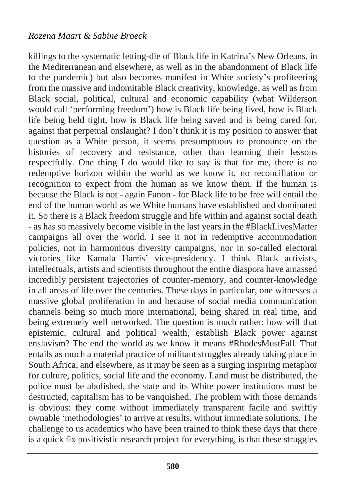killings to the systematic letting-die of Black life in Katrina's New Orleans, in the Mediterranean and elsewhere, as well as in the abandonment of Black life to the pandemic) but also becomes manifest in White society's profiteering from the massive and indomitable Black creativity, knowledge, as well as from Black social, political, cultural and economic capability (what Wilderson would call 'performing freedom') how is Black life being lived, how is Black life being held tight, how is Black life being saved and is being cared for, against that perpetual onslaught? I don't think it is my position to answer that question as a White person, it seems presumptuous to pronounce on the histories of recovery and resistance, other than learning their lessons respectfully. One thing I do would like to say is that for me, there is no redemptive horizon within the world as we know it, no reconciliation or recognition to expect from the human as we know them. If the human is because the Black is not - again Fanon - for Black life to be free will entail the end of the human world as we White humans have established and dominated it. So there is a Black freedom struggle and life within and against social death - as has so massively become visible in the last years in the #BlackLivesMatter campaigns all over the world. I see it not in redemptive accommodation policies, not in harmonious diversity campaigns, nor in so-called electoral victories like Kamala Harris' vice-presidency. I think Black activists, intellectuals, artists and scientists throughout the entire diaspora have amassed incredibly persistent trajectories of counter-memory, and counter-knowledge in all areas of life over the centuries. These days in particular, one witnesses a massive global proliferation in and because of social media communication channels being so much more international, being shared in real time, and being extremely well networked. The question is much rather: how will that epistemic, cultural and political wealth, establish Black power against enslavism? The end the world as we know it means #RhodesMustFall. That entails as much a material practice of militant struggles already taking place in South Africa, and elsewhere, as it may be seen as a surging inspiring metaphor for culture, politics, social life and the economy. Land must be distributed, the police must be abolished, the state and its White power institutions must be destructed, capitalism has to be vanquished. The problem with those demands is obvious: they come without immediately transparent facile and swiftly ownable 'methodologies' to arrive at results, without immediate solutions. The challenge to us academics who have been trained to think these days that there is a quick fix positivistic research project for everything, is that these struggles